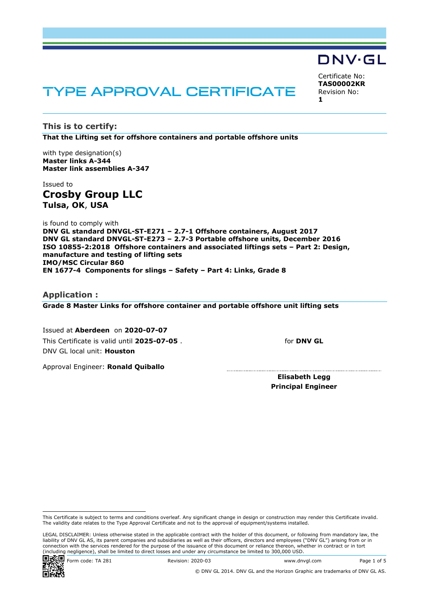# TYPE APPROVAL CERTIFICATE

**This is to certify: That the Lifting set for offshore containers and portable offshore units**

with type designation(s) **Master links A-344 Master link assemblies A-347**

Issued to **Crosby Group LLC Tulsa, OK**, **USA**

is found to comply with **DNV GL standard DNVGL-ST-E271 – 2.7-1 Offshore containers, August 2017 DNV GL standard DNVGL-ST-E273 – 2.7-3 Portable offshore units, December 2016 ISO 10855-2:2018 Offshore containers and associated liftings sets – Part 2: Design, manufacture and testing of lifting sets IMO/MSC Circular 860 EN 1677-4 Components for slings – Safety – Part 4: Links, Grade 8**

**Application : Grade 8 Master Links for offshore container and portable offshore unit lifting sets**

Issued at **Aberdeen** on **2020-07-07** This Certificate is valid until **2025-07-05** . DNV GL local unit: **Houston**

for **DNV GL**

Certificate No: **TAS00002KR** Revision No:

DNV·GL

**1**

Approval Engineer: **Ronald Quiballo**

**Elisabeth Legg Principal Engineer**

LEGAL DISCLAIMER: Unless otherwise stated in the applicable contract with the holder of this document, or following from mandatory law, the liability of DNV GL AS, its parent companies and subsidiaries as well as their officers, directors and employees ("DNV GL") arising from or in connection with the services rendered for the purpose of the issuance of this document or reliance thereon, whether in contract or in tort (including negligence), shall be limited to direct losses and under any circumstance be limited to 300,000 USD.



www.dnvgl.com Code: TA 281 Revision: 2020-03 Www.dnvgl.com Page 1 of 5



© DNV GL 2014. DNV GL and the Horizon Graphic are trademarks of DNV GL AS.

This Certificate is subject to terms and conditions overleaf. Any significant change in design or construction may render this Certificate invalid. The validity date relates to the Type Approval Certificate and not to the approval of equipment/systems installed.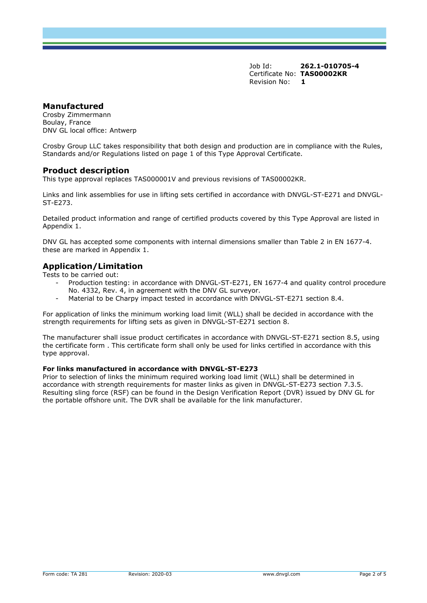# **Manufactured**

Crosby Zimmermann Boulay, France DNV GL local office: Antwerp

Crosby Group LLC takes responsibility that both design and production are in compliance with the Rules, Standards and/or Regulations listed on page 1 of this Type Approval Certificate.

### **Product description**

This type approval replaces TAS000001V and previous revisions of TAS00002KR.

Links and link assemblies for use in lifting sets certified in accordance with DNVGL-ST-E271 and DNVGL-ST-E273.

Detailed product information and range of certified products covered by this Type Approval are listed in Appendix 1.

DNV GL has accepted some components with internal dimensions smaller than Table 2 in EN 1677-4. these are marked in Appendix 1.

# **Application/Limitation**

Tests to be carried out:

- Production testing: in accordance with DNVGL-ST-E271, EN 1677-4 and quality control procedure No. 4332, Rev. 4, in agreement with the DNV GL surveyor.
- Material to be Charpy impact tested in accordance with DNVGL-ST-E271 section 8.4.

For application of links the minimum working load limit (WLL) shall be decided in accordance with the strength requirements for lifting sets as given in DNVGL-ST-E271 section 8.

The manufacturer shall issue product certificates in accordance with DNVGL-ST-E271 section 8.5, using the certificate form . This certificate form shall only be used for links certified in accordance with this type approval.

#### **For links manufactured in accordance with DNVGL-ST-E273**

Prior to selection of links the minimum required working load limit (WLL) shall be determined in accordance with strength requirements for master links as given in DNVGL-ST-E273 section 7.3.5. Resulting sling force (RSF) can be found in the Design Verification Report (DVR) issued by DNV GL for the portable offshore unit. The DVR shall be available for the link manufacturer.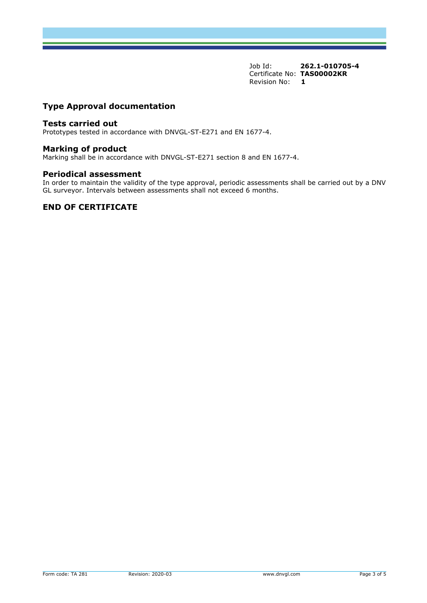# **Type Approval documentation**

#### **Tests carried out**

Prototypes tested in accordance with DNVGL-ST-E271 and EN 1677-4.

#### **Marking of product**

Marking shall be in accordance with DNVGL-ST-E271 section 8 and EN 1677-4.

#### **Periodical assessment**

In order to maintain the validity of the type approval, periodic assessments shall be carried out by a DNV GL surveyor. Intervals between assessments shall not exceed 6 months.

## **END OF CERTIFICATE**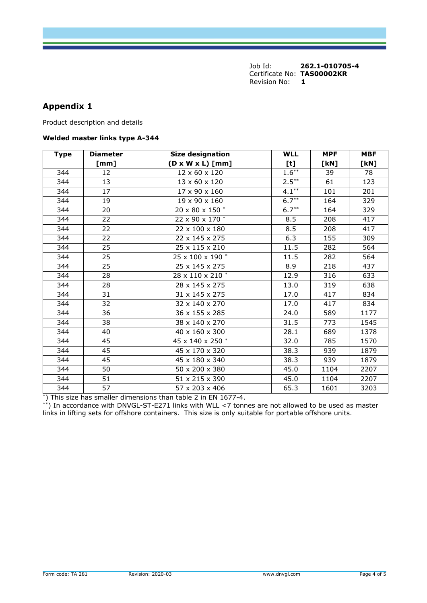# **Appendix 1**

Product description and details

#### **Welded master links type A-344**

| <b>Type</b> | <b>Diameter</b> | <b>Size designation</b>      | <b>WLL</b> | <b>MPF</b> | <b>MBF</b> |
|-------------|-----------------|------------------------------|------------|------------|------------|
|             | [mm]            | $(D \times W \times L)$ [mm] | [t]        | [KN]       | [kN]       |
| 344         | 12              | 12 x 60 x 120                | $1.6***$   | 39         | 78         |
| 344         | 13              | 13 x 60 x 120                | $2.5***$   | 61         | 123        |
| 344         | 17              | 17 x 90 x 160                | $4.1***$   | 101        | 201        |
| 344         | 19              | 19 x 90 x 160                | $6.7***$   | 164        | 329        |
| 344         | 20              | 20 x 80 x 150 *              | $6.7***$   | 164        | 329        |
| 344         | 22              | 22 x 90 x 170 *              | 8.5        | 208        | 417        |
| 344         | 22              | 22 x 100 x 180               | 8.5        | 208        | 417        |
| 344         | 22              | 22 x 145 x 275               | 6.3        | 155        | 309        |
| 344         | 25              | 25 x 115 x 210               | 11.5       | 282        | 564        |
| 344         | 25              | 25 x 100 x 190 *             | 11.5       | 282        | 564        |
| 344         | 25              | 25 x 145 x 275               | 8.9        | 218        | 437        |
| 344         | 28              | 28 x 110 x 210 *             | 12.9       | 316        | 633        |
| 344         | 28              | 28 x 145 x 275               | 13.0       | 319        | 638        |
| 344         | 31              | 31 x 145 x 275               | 17.0       | 417        | 834        |
| 344         | 32              | 32 x 140 x 270               | 17.0       | 417        | 834        |
| 344         | 36              | 36 x 155 x 285               | 24.0       | 589        | 1177       |
| 344         | 38              | 38 x 140 x 270               | 31.5       | 773        | 1545       |
| 344         | 40              | 40 x 160 x 300               | 28.1       | 689        | 1378       |
| 344         | 45              | 45 x 140 x 250 *             | 32.0       | 785        | 1570       |
| 344         | 45              | 45 x 170 x 320               | 38.3       | 939        | 1879       |
| 344         | 45              | 45 x 180 x 340               | 38.3       | 939        | 1879       |
| 344         | 50              | 50 x 200 x 380               | 45.0       | 1104       | 2207       |
| 344         | 51              | 51 x 215 x 390               | 45.0       | 1104       | 2207       |
| 344         | 57              | 57 x 203 x 406               | 65.3       | 1601       | 3203       |

\*) This size has smaller dimensions than table 2 in EN 1677-4.

\*\*) In accordance with DNVGL-ST-E271 links with WLL <7 tonnes are not allowed to be used as master links in lifting sets for offshore containers. This size is only suitable for portable offshore units.